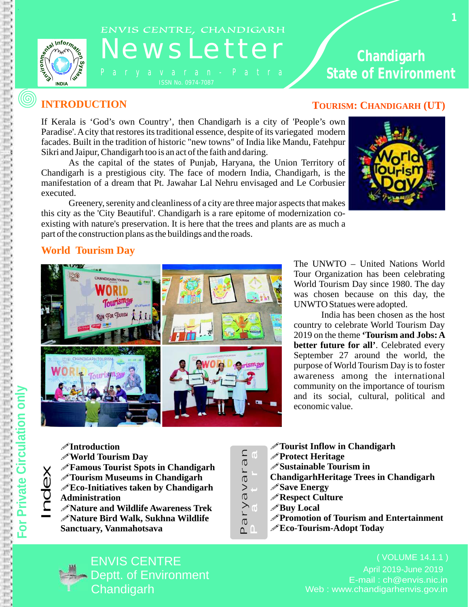

.

 $\circledS$ 

# ENVIS CENTRE, CHANDIGARH<br>NEWSLetter

ISSN No. 0974-7087

## **Chandigarh State of Environment**

If Kerala is 'God's own Country', then Chandigarh is a city of 'People's own Paradise'. Acity that restores its traditional essence, despite of its variegated modern facades. Built in the tradition of historic "new towns" of India like Mandu, Fatehpur Sikri and Jaipur, Chandigarh too is an act of the faith and daring.

As the capital of the states of Punjab, Haryana, the Union Territory of Chandigarh is a prestigious city. The face of modern India, Chandigarh, is the manifestation of a dream that Pt. Jawahar Lal Nehru envisaged and Le Corbusier executed.

Greenery, serenity and cleanliness of a city are three major aspects that makes this city as the 'City Beautiful'. Chandigarh is a rare epitome of modernization coexisting with nature's preservation. It is here that the trees and plants are as much a part of the construction plans as the buildings and the roads.

#### **INTRODUCTION TOURISM: CHANDIGARH** (UT)



#### **World Tourism Day**



The UNWTO – United Nations World Tour Organization has been celebrating World Tourism Day since 1980. The day was chosen because on this day, the UNWTO Statues were adopted.

India has been chosen as the host country to celebrate World Tourism Day 2019 on the theme **'Tourism and Jobs: A better future for all'**. Celebrated every September 27 around the world, the purpose of World Tourism Day is to foster awareness among the international community on the importance of tourism and its social, cultural, political and economic value.

 $\Xi$  . !**Eco-Initiatives taken by Chandigarh**  !**Tourism Museums in Chandigarh** !**Introduction** !**World Tourism Day** !**Famous Tourist Spots in Chandigarh Administration**  !**Nature and Wildlife Awareness Trek** !**Nature Bird Walk, Sukhna Wildlife Sanctuary, Vanmahotsava**

 $\sigma$  .  $\overline{\phantom{0}}$  $\geq$  $\overline{\sigma}$  $>$  .  $\overline{\sigma}$ ا ك  $\overline{\sigma}$ n a  $\overline{0}$ tr $\overline{0}$ 

 $\Delta$ 

 $\mathsf{n}$ 

- ! **Tourist Inflow in Chandigarh**
- !**Protect Heritage**
- !**Sustainable Tourism in**
- **ChandigarhHeritage Trees in Chandigarh**
- !**Save Energy**
- !**Respect Culture**
- !**Buy Local**
- !**Promotion of Tourism and Entertainment**
- !**Eco-Tourism-Adopt Today**



E-mail : ch@envis.nic.in Web : www.chandigarhenvis.gov.in ( VOLUME 14.1.1 ) April 2019-June 2019

d $\mathbb O$ 

 $\times$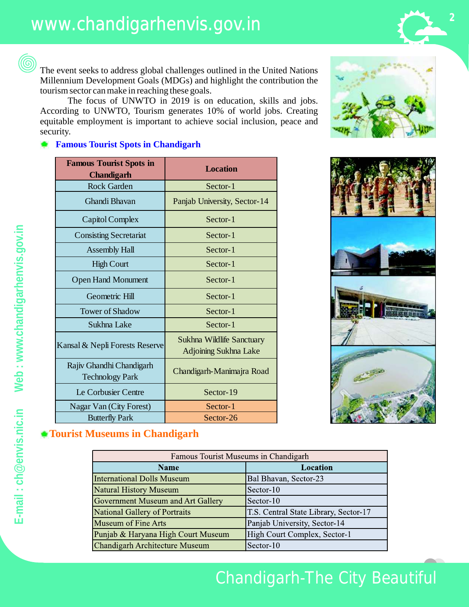The event seeks to address global challenges outlined in the United Nations Millennium Development Goals (MDGs) and highlight the contribution the tourism sector can make in reaching these goals.

The focus of UNWTO in 2019 is on education, skills and jobs. According to UNWTO, Tourism generates 10% of world jobs. Creating equitable employment is important to achieve social inclusion, peace and security.

#### **Famous Tourist Spots in Chandigarh**

| <b>Famous Tourist Spots in</b><br><b>Chandigarh</b> | <b>Location</b>                                                  |
|-----------------------------------------------------|------------------------------------------------------------------|
| <b>Rock Garden</b>                                  | Sector-1                                                         |
| Ghandi Bhavan                                       | Panjab University, Sector-14                                     |
| Capitol Complex                                     | Sector-1                                                         |
| <b>Consisting Secretariat</b>                       | Sector-1                                                         |
| <b>Assembly Hall</b>                                | Sector-1                                                         |
| <b>High Court</b>                                   | Sector-1                                                         |
| <b>Open Hand Monument</b>                           | Sector-1                                                         |
| Geometric Hill                                      | Sector-1                                                         |
| <b>Tower of Shadow</b>                              | Sector-1                                                         |
| Sukhna Lake                                         | Sector-1                                                         |
| Kansal & Nepli Forests Reserve                      | <b>Sukhna Wildlife Sanctuary</b><br><b>Adjoining Sukhna Lake</b> |
| Rajiv Ghandhi Chandigarh<br><b>Technology Park</b>  | Chandigarh-Manimajra Road                                        |
| Le Corbusier Centre                                 | Sector-19                                                        |
| Nagar Van (City Forest)                             | Sector-1                                                         |
| <b>Butterfly Park</b>                               | Sector-26                                                        |



#### **Tourist Museums in Chandigarh**

| Famous Tourist Museums in Chandigarh |                                       |  |
|--------------------------------------|---------------------------------------|--|
| <b>Name</b>                          | Location                              |  |
| <b>International Dolls Museum</b>    | Bal Bhavan, Sector-23                 |  |
| <b>Natural History Museum</b>        | Sector-10                             |  |
| Government Museum and Art Gallery    | Sector-10                             |  |
| National Gallery of Portraits        | T.S. Central State Library, Sector-17 |  |
| <b>Museum of Fine Arts</b>           | Panjab University, Sector-14          |  |
| Punjab & Haryana High Court Museum   | High Court Complex, Sector-1          |  |
| Chandigarh Architecture Museum       | Sector-10                             |  |



6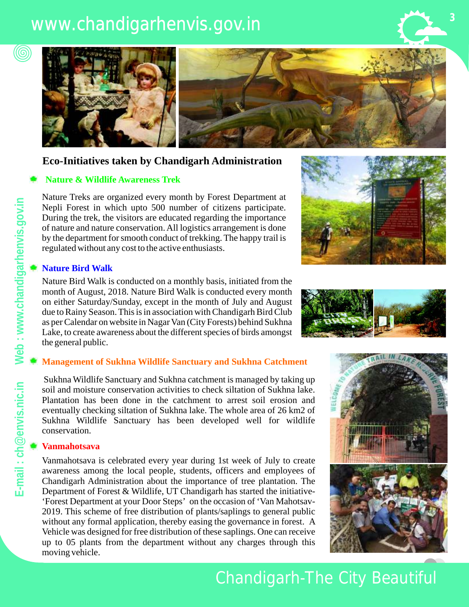# www.chandigarhenvis.gov.in





#### **Eco-Initiatives taken by Chandigarh Administration**

#### **Nature & Wildlife Awareness Trek**

Nature Treks are organized every month by Forest Department at Nepli Forest in which upto 500 number of citizens participate. During the trek, the visitors are educated regarding the importance of nature and nature conservation. All logistics arrangement is done by the department for smooth conduct of trekking. The happy trail is regulated without any cost to the active enthusiasts.

#### **Nature Bird Walk**

Nature Bird Walk is conducted on a monthly basis, initiated from the month of August, 2018. Nature Bird Walk is conducted every month on either Saturday/Sunday, except in the month of July and August due to Rainy Season. This is in association with Chandigarh Bird Club as per Calendar on website in Nagar Van (City Forests) behind Sukhna Lake, to create awareness about the different species of birds amongst the general public.

#### **Management of Sukhna Wildlife Sanctuary and Sukhna Catchment**

Sukhna Wildlife Sanctuary and Sukhna catchment is managed by taking up soil and moisture conservation activities to check siltation of Sukhna lake. Plantation has been done in the catchment to arrest soil erosion and eventually checking siltation of Sukhna lake. The whole area of 26 km2 of Sukhna Wildlife Sanctuary has been developed well for wildlife conservation.

#### **Vanmahotsava**

Vanmahotsava is celebrated every year during 1st week of July to create awareness among the local people, students, officers and employees of Chandigarh Administration about the importance of tree plantation. The Department of Forest & Wildlife, UT Chandigarh has started the initiative- 'Forest Department at your Door Steps' on the occasion of 'Van Mahotsav-2019. This scheme of free distribution of plants/saplings to general public without any formal application, thereby easing the governance in forest. A Vehicle was designed for free distribution of these saplings. One can receive up to 05 plants from the department without any charges through this moving vehicle.







Chandigarh-The City Beautiful

(©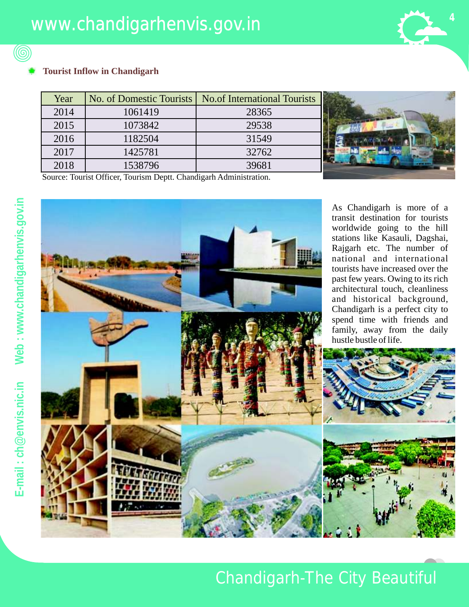

#### **Tourist Inflow in Chandigarh**

| Year | No. of Domestic Tourists | No.of International Tourists |  |
|------|--------------------------|------------------------------|--|
| 2014 | 1061419                  | 28365                        |  |
| 2015 | 1073842                  | 29538                        |  |
| 2016 | 1182504                  | 31549                        |  |
| 2017 | 1425781                  | 32762                        |  |
| 2018 | 1538796                  | 39681                        |  |



Source: Tourist Officer, Tourism Deptt. Chandigarh Administration.



As Chandigarh is more of a transit destination for tourists worldwide going to the hill stations like Kasauli, Dagshai, Rajgarh etc. The number of national and international tourists have increased over the past few years. Owing to its rich architectural touch, cleanliness and historical background, Chandigarh is a perfect city to spend time with friends and family, away from the daily hustle bustle of life.



**gov**

6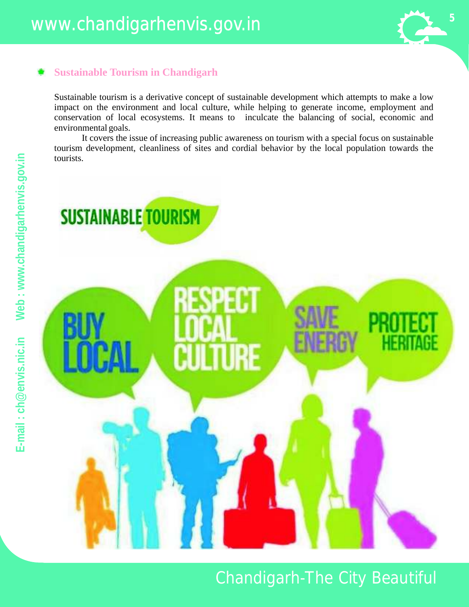### **Sustainable Tourism in Chandigarh**

Sustainable tourism is a derivative concept of sustainable development which attempts to make a low impact on the environment and local culture, while helping to generate income, employment and conservation of local ecosystems. It means to inculcate the balancing of social, economic and environmental goals.

It covers the issue of increasing public awareness on tourism with a special focus on sustainable tourism development, cleanliness of sites and cordial behavior by the local population towards the

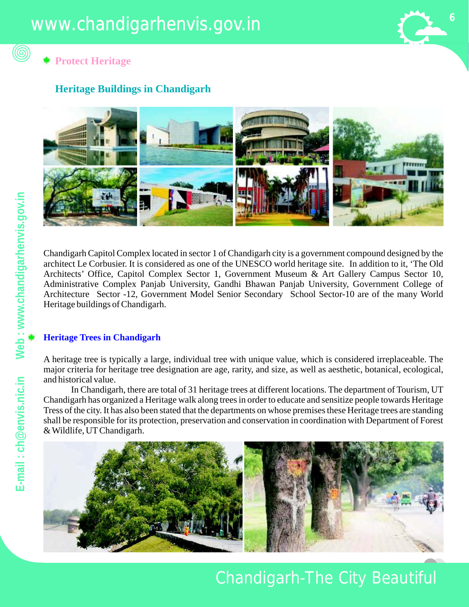

**Protect Heritage** 

#### **Heritage Buildings in Chandigarh**



Chandigarh Capitol Complex located in sector 1 of Chandigarh city is a government compound designed by the architect Le Corbusier. It is considered as one of the UNESCO world heritage site. In addition to it, 'The Old Architects' Office, Capitol Complex Sector 1, Government Museum & Art Gallery Campus Sector 10, Administrative Complex Panjab University, Gandhi Bhawan Panjab University, Government College of Architecture Sector -12, Government Model Senior Secondary School Sector-10 are of the many World Heritage buildings of Chandigarh.

#### **Heritage Trees in Chandigarh**

A heritage tree is typically a large, individual tree with unique value, which is considered irreplaceable. The major criteria for heritage tree designation are age, rarity, and size, as well as aesthetic, botanical, ecological, and historical value.

In Chandigarh, there are total of 31 heritage trees at different locations. The department of Tourism, UT Chandigarh has organized a Heritage walk along trees in order to educate and sensitize people towards Heritage Tress of the city. It has also been stated that the departments on whose premises these Heritage trees are standing shall be responsible for its protection, preservation and conservation in coordination with Department of Forest & Wildlife, UTChandigarh.



6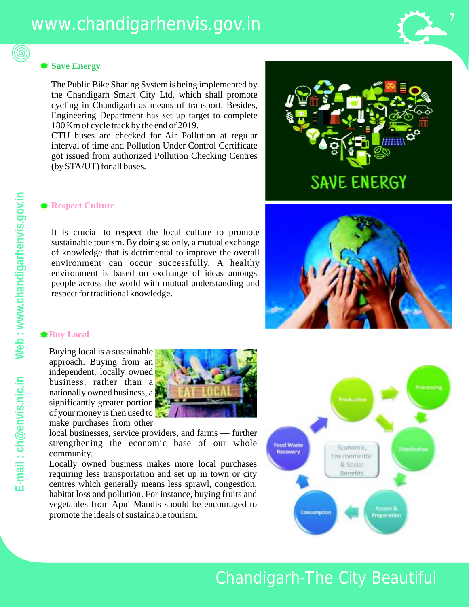#### **Save Energy**

(©)

The Public Bike Sharing System is being implemented by the Chandigarh Smart City Ltd. which shall promote cycling in Chandigarh as means of transport. Besides, Engineering Department has set up target to complete 180 Km of cycle track by the end of 2019.

CTU buses are checked for Air Pollution at regular interval of time and Pollution Under Control Certificate got issued from authorized Pollution Checking Centres (by STA/UT) for all buses.

#### **Respect Culture**

It is crucial to respect the local culture to promote sustainable tourism. By doing so only, a mutual exchange of knowledge that is detrimental to improve the overall environment can occur successfully. A healthy environment is based on exchange of ideas amongst people across the world with mutual understanding and respect for traditional knowledge.



**7**



#### **Buy Local**

Buying local is a sustainable approach. Buying from an independent, locally owned business, rather than a nationally owned business, a significantly greater portion of your money is then used to make purchases from other



local businesses, service providers, and farms — further strengthening the economic base of our whole community.

Locally owned business makes more local purchases requiring less transportation and set up in town or city centres which generally means less sprawl, congestion, habitat loss and pollution. For instance, buying fruits and vegetables from Apni Mandis should be encouraged to promote the ideals of sustainable tourism.